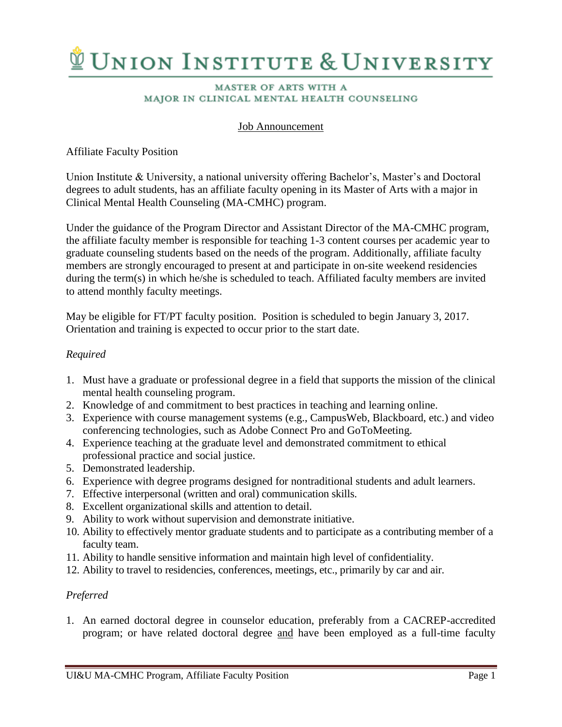# **VUNION INSTITUTE & UNIVERSITY**

#### **MASTER OF ARTS WITH A** MAJOR IN CLINICAL MENTAL HEALTH COUNSELING

# Job Announcement

# Affiliate Faculty Position

Union Institute & University, a national university offering Bachelor's, Master's and Doctoral degrees to adult students, has an affiliate faculty opening in its Master of Arts with a major in Clinical Mental Health Counseling (MA-CMHC) program.

Under the guidance of the Program Director and Assistant Director of the MA-CMHC program, the affiliate faculty member is responsible for teaching 1-3 content courses per academic year to graduate counseling students based on the needs of the program. Additionally, affiliate faculty members are strongly encouraged to present at and participate in on-site weekend residencies during the term(s) in which he/she is scheduled to teach. Affiliated faculty members are invited to attend monthly faculty meetings.

May be eligible for FT/PT faculty position. Position is scheduled to begin January 3, 2017. Orientation and training is expected to occur prior to the start date.

### *Required*

- 1. Must have a graduate or professional degree in a field that supports the mission of the clinical mental health counseling program.
- 2. Knowledge of and commitment to best practices in teaching and learning online.
- 3. Experience with course management systems (e.g., CampusWeb, Blackboard, etc.) and video conferencing technologies, such as Adobe Connect Pro and GoToMeeting.
- 4. Experience teaching at the graduate level and demonstrated commitment to ethical professional practice and social justice.
- 5. Demonstrated leadership.
- 6. Experience with degree programs designed for nontraditional students and adult learners.
- 7. Effective interpersonal (written and oral) communication skills.
- 8. Excellent organizational skills and attention to detail.
- 9. Ability to work without supervision and demonstrate initiative.
- 10. Ability to effectively mentor graduate students and to participate as a contributing member of a faculty team.
- 11. Ability to handle sensitive information and maintain high level of confidentiality.
- 12. Ability to travel to residencies, conferences, meetings, etc., primarily by car and air.

### *Preferred*

1. An earned doctoral degree in counselor education, preferably from a CACREP-accredited program; or have related doctoral degree and have been employed as a full-time faculty